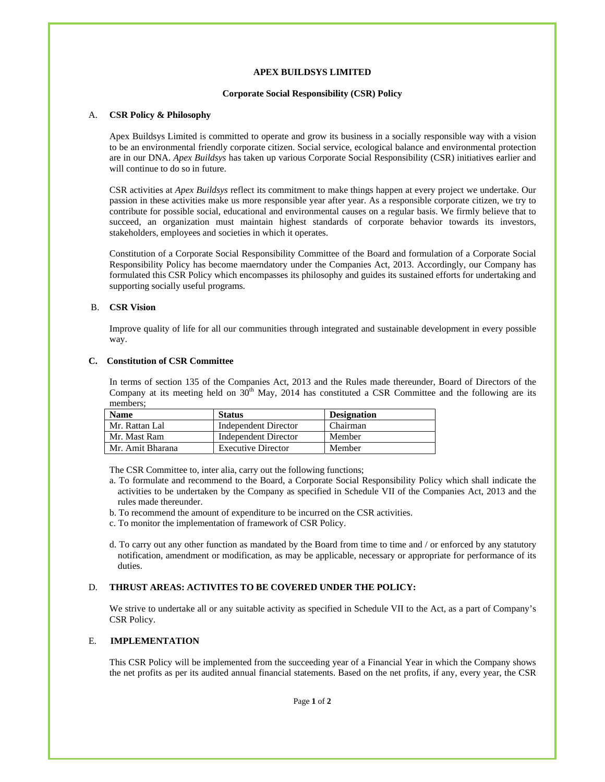### **APEX BUILDSYS LIMITED**

### **Corporate Social Responsibility (CSR) Policy**

### A. **CSR Policy & Philosophy**

Apex Buildsys Limited is committed to operate and grow its business in a socially responsible way with a vision to be an environmental friendly corporate citizen. Social service, ecological balance and environmental protection are in our DNA. *Apex Buildsys* has taken up various Corporate Social Responsibility (CSR) initiatives earlier and will continue to do so in future.

CSR activities at *Apex Buildsys* reflect its commitment to make things happen at every project we undertake. Our passion in these activities make us more responsible year after year. As a responsible corporate citizen, we try to contribute for possible social, educational and environmental causes on a regular basis. We firmly believe that to succeed, an organization must maintain highest standards of corporate behavior towards its investors, stakeholders, employees and societies in which it operates.

Constitution of a Corporate Social Responsibility Committee of the Board and formulation of a Corporate Social Responsibility Policy has become maerndatory under the Companies Act, 2013. Accordingly, our Company has formulated this CSR Policy which encompasses its philosophy and guides its sustained efforts for undertaking and supporting socially useful programs.

### B. **CSR Vision**

Improve quality of life for all our communities through integrated and sustainable development in every possible way.

## **C. Constitution of CSR Committee**

In terms of section 135 of the Companies Act, 2013 and the Rules made thereunder, Board of Directors of the Company at its meeting held on  $30<sup>th</sup>$  May, 2014 has constituted a CSR Committee and the following are its members;

| <b>Name</b>      | <b>Status</b>             | <b>Designation</b> |
|------------------|---------------------------|--------------------|
| Mr. Rattan Lal   | Independent Director      | Chairman           |
| Mr. Mast Ram     | Independent Director      | Member             |
| Mr. Amit Bharana | <b>Executive Director</b> | Member             |

The CSR Committee to, inter alia, carry out the following functions;

- a. To formulate and recommend to the Board, a Corporate Social Responsibility Policy which shall indicate the activities to be undertaken by the Company as specified in Schedule VII of the Companies Act, 2013 and the rules made thereunder.
- b. To recommend the amount of expenditure to be incurred on the CSR activities.
- c. To monitor the implementation of framework of CSR Policy.
- d. To carry out any other function as mandated by the Board from time to time and / or enforced by any statutory notification, amendment or modification, as may be applicable, necessary or appropriate for performance of its duties.

## D. **THRUST AREAS: ACTIVITES TO BE COVERED UNDER THE POLICY:**

We strive to undertake all or any suitable activity as specified in Schedule VII to the Act, as a part of Company's CSR Policy.

## E. **IMPLEMENTATION**

This CSR Policy will be implemented from the succeeding year of a Financial Year in which the Company shows the net profits as per its audited annual financial statements. Based on the net profits, if any, every year, the CSR